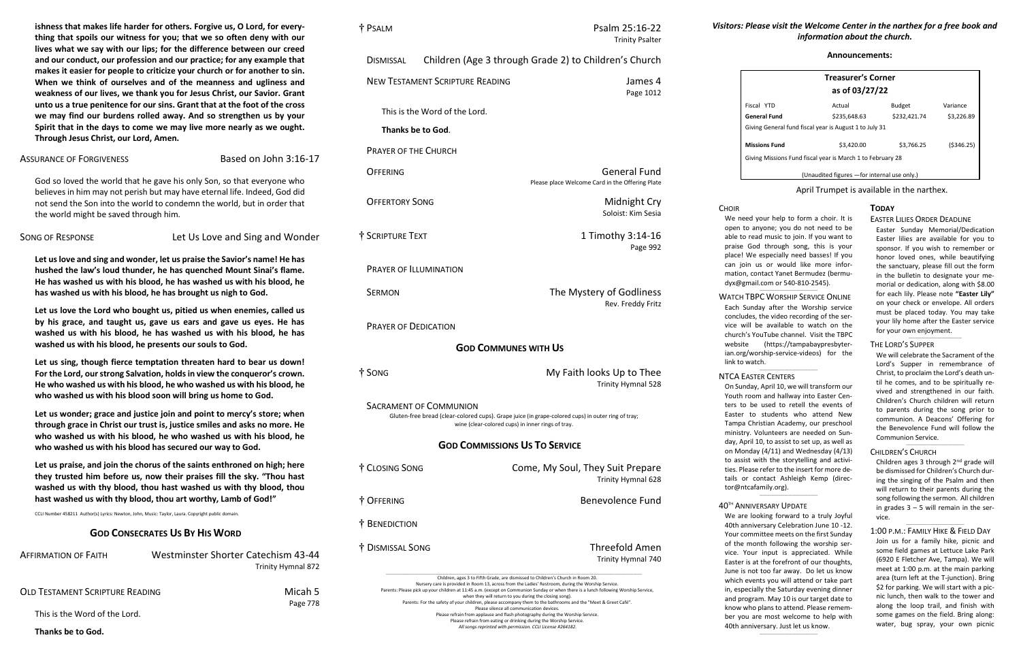# *Visitors: Please visit the Welcome Center in the narthex for a free book and information about the church.*

**ishness that makes life harder for others. Forgive us, O Lord, for everything that spoils our witness for you; that we so often deny with our lives what we say with our lips; for the difference between our creed and our conduct, our profession and our practice; for any example that makes it easier for people to criticize your church or for another to sin. When we think of ourselves and of the meanness and ugliness and weakness of our lives, we thank you for Jesus Christ, our Savior. Grant unto us a true penitence for our sins. Grant that at the foot of the cross we may find our burdens rolled away. And so strengthen us by your Spirit that in the days to come we may live more nearly as we ought. Through Jesus Christ, our Lord, Amen.**

# ASSURANCE OF FORGIVENESS Based on John 3:16-17

God so loved the world that he gave his only Son, so that everyone who believes in him may not perish but may have eternal life. Indeed, God did not send the Son into the world to condemn the world, but in order that the world might be saved through him.

SONG OF RESPONSE **Let Us Love and Sing and Wonder** 

**Let us love and sing and wonder, let us praise the Savior's name! He has hushed the law's loud thunder, he has quenched Mount Sinai's flame. He has washed us with his blood, he has washed us with his blood, he has washed us with his blood, he has brought us nigh to God.**

**Let us love the Lord who bought us, pitied us when enemies, called us by his grace, and taught us, gave us ears and gave us eyes. He has washed us with his blood, he has washed us with his blood, he has washed us with his blood, he presents our souls to God.**

**Let us sing, though fierce temptation threaten hard to bear us down! For the Lord, our strong Salvation, holds in view the conqueror's crown. He who washed us with his blood, he who washed us with his blood, he who washed us with his blood soon will bring us home to God.**

**Let us wonder; grace and justice join and point to mercy's store; when through grace in Christ our trust is, justice smiles and asks no more. He who washed us with his blood, he who washed us with his blood, he who washed us with his blood has secured our way to God.**

**Let us praise, and join the chorus of the saints enthroned on high; here they trusted him before us, now their praises fill the sky. "Thou hast washed us with thy blood, thou hast washed us with thy blood, thou hast washed us with thy blood, thou art worthy, Lamb of God!"**

CCLI Number 458211 Author(s) Lyrics: Newton, John, Music: Taylor, Laura. Copyright public domain.

# **GOD CONSECRATES US BY HIS WORD**

| <b>AFFIRMATION OF FAITH</b>     | Westminster Shorter Catechism 43-44<br>Trinity Hymnal 872 |
|---------------------------------|-----------------------------------------------------------|
| OLD TESTAMENT SCRIPTURE READING | Micah 5<br>Page 778                                       |

This is the Word of the Lord.

**Thanks be to God.**

Children ages 3 through 2<sup>nd</sup> grade will be dismissed for Children's Church during the singing of the Psalm and then will return to their parents during the song following the sermon. All children in grades  $3 - 5$  will remain in the service.

 $\_$ 

 $\_$ 

| † PSALM                                | Psalm 25:16-22<br><b>Trinity Psalter</b>                                                                                                                |
|----------------------------------------|---------------------------------------------------------------------------------------------------------------------------------------------------------|
| <b>DISMISSAL</b>                       | Children (Age 3 through Grade 2) to Children's Church                                                                                                   |
| <b>NEW TESTAMENT SCRIPTURE READING</b> | James 4<br>Page 1012                                                                                                                                    |
| This is the Word of the Lord.          |                                                                                                                                                         |
| Thanks be to God.                      |                                                                                                                                                         |
| <b>PRAYER OF THE CHURCH</b>            |                                                                                                                                                         |
| OFFERING                               | <b>General Fund</b><br>Please place Welcome Card in the Offering Plate                                                                                  |
| <b>OFFERTORY SONG</b>                  | Midnight Cry<br>Soloist: Kim Sesia                                                                                                                      |
| † SCRIPTURE TEXT                       | 1 Timothy 3:14-16<br>Page 992                                                                                                                           |
| <b>PRAYER OF ILLUMINATION</b>          |                                                                                                                                                         |
| <b>SERMON</b>                          | The Mystery of Godliness<br>Rev. Freddy Fritz                                                                                                           |
| <b>PRAYER OF DEDICATION</b>            |                                                                                                                                                         |
|                                        | <b>GOD COMMUNES WITH US</b>                                                                                                                             |
| † SONG                                 | My Faith looks Up to Thee<br><b>Trinity Hymnal 528</b>                                                                                                  |
| <b>SACRAMENT OF COMMUNION</b>          | Gluten-free bread (clear-colored cups). Grape juice (in grape-colored cups) in outer ring of tray;<br>wine (clear-colored cups) in inner rings of tray. |
|                                        | <b>GOD COMMISSIONS US TO SERVICE</b>                                                                                                                    |
| † CLOSING SONG                         | Come, My Soul, They Suit Prepare<br>Trinity Hymnal 628                                                                                                  |
| † OFFERING                             | <b>Benevolence Fund</b>                                                                                                                                 |
| † BENEDICTION                          |                                                                                                                                                         |
| † Dismissal Song                       | <b>Threefold Amen</b><br>Trinity Hymnal 740                                                                                                             |

\_\_\_\_\_\_\_\_\_\_\_\_\_\_\_\_\_\_\_\_\_\_\_\_\_\_\_\_\_\_\_\_\_\_\_\_\_\_\_\_\_\_\_\_\_\_\_\_\_\_\_\_\_\_\_\_\_\_\_\_\_\_\_\_\_\_\_\_\_\_\_\_\_\_\_\_\_\_\_\_\_\_\_\_\_\_\_\_\_\_\_\_\_\_\_\_\_\_\_\_\_\_\_\_\_\_\_\_\_\_\_\_\_\_\_\_\_\_\_\_\_\_\_\_\_\_\_\_\_\_\_\_\_\_\_\_\_\_\_\_\_\_\_\_\_\_\_\_\_\_\_\_\_\_ Children, ages 3 to Fifth Grade, are dismissed to Children's Church in Room 20. Nursery care is provided in Room 13, across from the Ladies' Restroom, during the Worship Service. Parents: Please pick up your children at 11:45 a.m. (except on Communion Sunday or when there is a lunch following Worship Service, when they will return to you during the closing song). Parents: For the safety of your children, please accompany them to the bathrooms and the "Meet & Greet Café". Please silence all communication devices. Please refrain from applause and flash photography during the Worship Service. Please refrain from eating or drinking during the Worship Service. *All songs reprinted with permission. CCLI License #264182.*

**CHOIR** 

## **Announcements:**

| <b>Treasurer's Corner</b><br>as of 03/27/22                |              |               |            |  |
|------------------------------------------------------------|--------------|---------------|------------|--|
| Fiscal YTD                                                 | Actual       | <b>Budget</b> | Variance   |  |
| General Fund                                               | \$235.648.63 | \$232,421.74  | \$3.226.89 |  |
| Giving General fund fiscal year is August 1 to July 31     |              |               |            |  |
| <b>Missions Fund</b>                                       | \$3,420.00   | \$3.766.25    | (5346.25)  |  |
| Giving Missions Fund fiscal year is March 1 to February 28 |              |               |            |  |
| (Unaudited figures - for internal use only.)               |              |               |            |  |

April Trumpet is available in the narthex.

### **TODAY**

# EASTER LILIES ORDER DEADLINE

Easter Sunday Memorial/Dedication Easter lilies are available for you to sponsor. If you wish to remember or honor loved ones, while beautifying the sanctuary, please fill out the form in the bulletin to designate your memorial or dedication, along with \$8.00 for each lily. Please note **"Easter Lily"** on your check or envelope. All orders must be placed today. You may take your lily home after the Easter service for your own enjoyment.

\_\_\_\_\_\_\_\_\_\_\_\_\_\_\_\_\_\_\_\_\_\_\_\_\_\_\_\_\_\_\_\_

#### THE LORD'S SUPPER

We will celebrate the Sacrament of the Lord's Supper in remembrance of Christ, to proclaim the Lord's death until he comes, and to be spiritually revived and strengthened in our faith. Children's Church children will return to parents during the song prior to communion. A Deacons' Offering for the Benevolence Fund will follow the Communion Service.

#### CHILDREN'S CHURCH

1:00 P.M.: FAMILY HIKE & FIELD DAY Join us for a family hike, picnic and some field games at Lettuce Lake Park (6920 E Fletcher Ave, Tampa). We will meet at 1:00 p.m. at the main parking area (turn left at the T-junction). Bring \$2 for parking. We will start with a picnic lunch, then walk to the tower and along the loop trail, and finish with some games on the field. Bring along: water, bug spray, your own picnic

We need your help to form a choir. It is open to anyone; you do not need to be able to read music to join. If you want to praise God through song, this is your place! We especially need basses! If you can join us or would like more information, contact Yanet Bermudez [\(bermu](mailto:bermudyx@gmail.com%20or%20540-810-2545)dyx@gmail.com [or 540-810-2545\)](mailto:bermudyx@gmail.com%20or%20540-810-2545).

WATCH TBPC WORSHIP SERVICE ONLINE Each Sunday after the Worship service concludes, the video recording of the service will be available to watch on the church's YouTube channel. Visit the TBPC website [\(https://tampabaypresbyter](https://tampabaypresbyterian.org/worship-service-videos)[ian.org/worship-service-videos\)](https://tampabaypresbyterian.org/worship-service-videos) for the link to watch.

 $\_$ 

 $\_$ 

#### NTCA EASTER CENTERS

On Sunday, April 10, we will transform our Youth room and hallway into Easter Centers to be used to retell the events of Easter to students who attend New Tampa Christian Academy, our preschool ministry. Volunteers are needed on Sunday, April 10, to assist to set up, as well as on Monday (4/11) and Wednesday (4/13) to assist with the storytelling and activities. Please refer to the insert for more details or contact Ashleigh Kemp [\(direc](mailto:director@ntcafamily.org)[tor@ntcafamily.org\)](mailto:director@ntcafamily.org).

#### 40TH ANNIVERSARY UPDATE

 $\_$ 

We are looking forward to a truly Joyful 40th anniversary Celebration June 10 -12. Your committee meets on the first Sunday of the month following the worship service. Your input is appreciated. While Easter is at the forefront of our thoughts, June is not too far away. Do let us know which events you will attend or take part in, especially the Saturday evening dinner and program. May 10 is our target date to know who plans to attend. Please remember you are most welcome to help with 40th anniversary. Just let us know.

 $\_$